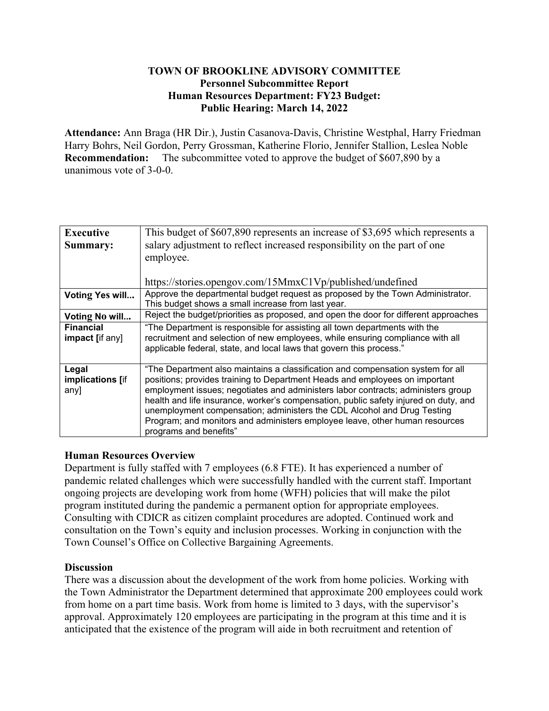## **TOWN OF BROOKLINE ADVISORY COMMITTEE Personnel Subcommittee Report Human Resources Department: FY23 Budget: Public Hearing: March 14, 2022**

**Attendance:** Ann Braga (HR Dir.), Justin Casanova-Davis, Christine Westphal, Harry Friedman Harry Bohrs, Neil Gordon, Perry Grossman, Katherine Florio, Jennifer Stallion, Leslea Noble **Recommendation:** The subcommittee voted to approve the budget of \$607,890 by a unanimous vote of 3-0-0.

| <b>Executive</b>                    | This budget of \$607,890 represents an increase of \$3,695 which represents a                                                                                                                                                                                                                                                                                                                                                                                                                                                  |
|-------------------------------------|--------------------------------------------------------------------------------------------------------------------------------------------------------------------------------------------------------------------------------------------------------------------------------------------------------------------------------------------------------------------------------------------------------------------------------------------------------------------------------------------------------------------------------|
| Summary:                            | salary adjustment to reflect increased responsibility on the part of one                                                                                                                                                                                                                                                                                                                                                                                                                                                       |
|                                     | employee.                                                                                                                                                                                                                                                                                                                                                                                                                                                                                                                      |
|                                     |                                                                                                                                                                                                                                                                                                                                                                                                                                                                                                                                |
|                                     | https://stories.opengov.com/15MmxC1Vp/published/undefined                                                                                                                                                                                                                                                                                                                                                                                                                                                                      |
| <b>Voting Yes will</b>              | Approve the departmental budget request as proposed by the Town Administrator.<br>This budget shows a small increase from last year.                                                                                                                                                                                                                                                                                                                                                                                           |
| Voting No will                      | Reject the budget/priorities as proposed, and open the door for different approaches                                                                                                                                                                                                                                                                                                                                                                                                                                           |
| <b>Financial</b><br>impact [if any] | "The Department is responsible for assisting all town departments with the<br>recruitment and selection of new employees, while ensuring compliance with all<br>applicable federal, state, and local laws that govern this process."                                                                                                                                                                                                                                                                                           |
| Legal<br>implications [if<br>any]   | "The Department also maintains a classification and compensation system for all<br>positions; provides training to Department Heads and employees on important<br>employment issues; negotiates and administers labor contracts; administers group<br>health and life insurance, worker's compensation, public safety injured on duty, and<br>unemployment compensation; administers the CDL Alcohol and Drug Testing<br>Program; and monitors and administers employee leave, other human resources<br>programs and benefits" |

# **Human Resources Overview**

Department is fully staffed with 7 employees (6.8 FTE). It has experienced a number of pandemic related challenges which were successfully handled with the current staff. Important ongoing projects are developing work from home (WFH) policies that will make the pilot program instituted during the pandemic a permanent option for appropriate employees. Consulting with CDICR as citizen complaint procedures are adopted. Continued work and consultation on the Town's equity and inclusion processes. Working in conjunction with the Town Counsel's Office on Collective Bargaining Agreements.

### **Discussion**

There was a discussion about the development of the work from home policies. Working with the Town Administrator the Department determined that approximate 200 employees could work from home on a part time basis. Work from home is limited to 3 days, with the supervisor's approval. Approximately 120 employees are participating in the program at this time and it is anticipated that the existence of the program will aide in both recruitment and retention of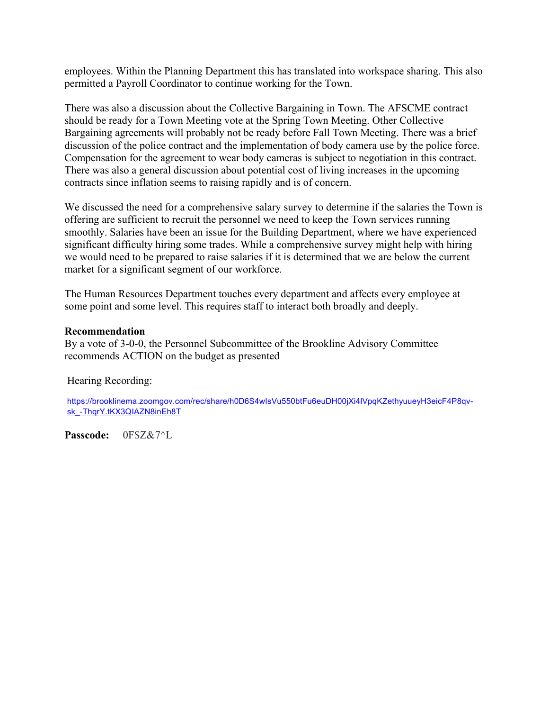employees. Within the Planning Department this has translated into workspace sharing. This also permitted a Payroll Coordinator to continue working for the Town.

There was also a discussion about the Collective Bargaining in Town. The AFSCME contract should be ready for a Town Meeting vote at the Spring Town Meeting. Other Collective Bargaining agreements will probably not be ready before Fall Town Meeting. There was a brief discussion of the police contract and the implementation of body camera use by the police force. Compensation for the agreement to wear body cameras is subject to negotiation in this contract. There was also a general discussion about potential cost of living increases in the upcoming contracts since inflation seems to raising rapidly and is of concern.

We discussed the need for a comprehensive salary survey to determine if the salaries the Town is offering are sufficient to recruit the personnel we need to keep the Town services running smoothly. Salaries have been an issue for the Building Department, where we have experienced significant difficulty hiring some trades. While a comprehensive survey might help with hiring we would need to be prepared to raise salaries if it is determined that we are below the current market for a significant segment of our workforce.

The Human Resources Department touches every department and affects every employee at some point and some level. This requires staff to interact both broadly and deeply.

### **Recommendation**

By a vote of 3-0-0, the Personnel Subcommittee of the Brookline Advisory Committee recommends ACTION on the budget as presented

### Hearing Recording:

https://brooklinema.zoomgov.com/rec/share/h0D6S4wIsVu550btFu6euDH00jXi4lVpqKZethyuueyH3eicF4P8qvsk\_-ThqrY.tKX3QIAZN8inEh8T

**Passcode:** 0F\$Z&7^L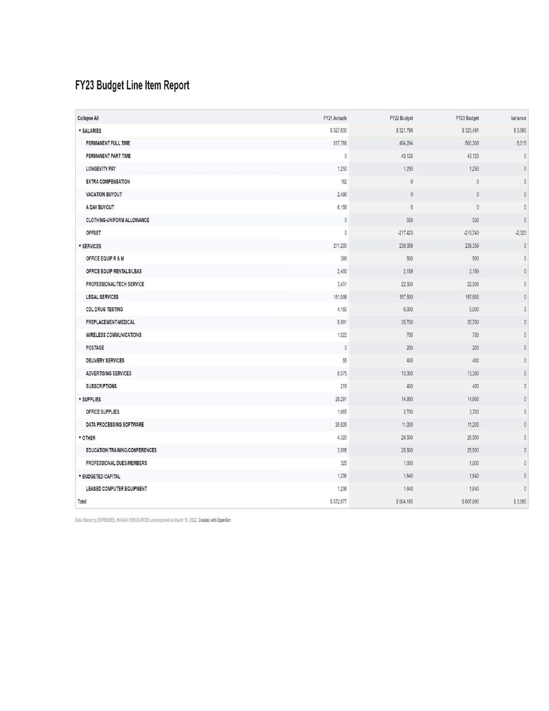# FY23 Budget Line Item Report

| Collapse All                      | FY21 Actuals | FY22 Budget | FY23 Budget  | Variance       |
|-----------------------------------|--------------|-------------|--------------|----------------|
| <b>v SALARIES</b>                 | \$327,830    | \$321,796   | \$325,491    | \$3,695        |
| PERMANENT FULL TIME               | 317,766      | 494,294     | 500,309      | 6,015          |
| PERMANENT PART TIME               | $\theta$     | 43,125      | 43,125       | $\mathbb O$    |
| <b>LONGEVITY PAY</b>              | 1,250        | 1,250       | 1,250        | $\overline{0}$ |
| <b>EXTRA COMPENSATION</b>         | 162          | $\mathbb O$ | $\theta$     | $\mathbb O$    |
| <b>VACATION BUYOUT</b>            | 2,496        | $\theta$    | $\mathbf{0}$ | $\mathbb O$    |
| A DAY BUYOUT                      | 6,156        | $\theta$    | $\theta$     | $\bf 0$        |
| <b>CLOTHING-UNIFORM ALLOWANCE</b> | $\mathbb O$  | 550         | 550          | $\mathbb O$    |
| OFFSET                            | 0            | $-217.423$  | $-219,743$   | $-2,320$       |
| <b>v SERVICES</b>                 | 211,200      | 239,359     | 239,359      | $\theta$       |
| OFFICE EQUIP R & M                | 389          | 500         | 500          | $\mathbb O$    |
| OFFICE EQUIP RENTALS/LEAS         | 2,400        | 2,159       | 2,159        | $\mathbb O$    |
| PROFESSIONAL/TECH SERVICE         | 3.451        | 22,500      | 22,500       | $\mathbf 0$    |
| <b>LEGAL SERVICES</b>             | 181,938      | 157,500     | 157,500      | $\mathbf 0$    |
| <b>CDL DRUG TESTING</b>           | 4,160        | 6,000       | 6,000        | $\mathbb O$    |
| PREPLACEMENT-MEDICAL              | 8,991        | 35,700      | 35,700       | $\mathbb O$    |
| <b>WIRELESS COMMUNICATIONS</b>    | 1,023        | 700         | 700          | $\mathbb O$    |
| <b>POSTAGE</b>                    | $\mathbb O$  | 200         | 200          | $\mathbb O$    |
| <b>DELIVERY SERVICES</b>          | 55           | 400         | 400          | $\mathbb O$    |
| <b>ADVERTISING SERVICES</b>       | 8,575        | 13,300      | 13,300       | $\mathbb O$    |
| <b>SUBSCRIPTIONS</b>              | 219          | 400         | 400          | $\mathbf{0}$   |
| <b>v</b> SUPPLIES                 | 28,291       | 14,900      | 14,900       | $\mathbb O$    |
| OFFICE SUPPLIES                   | 1,665        | 3,700       | 3,700        | $\mathbb O$    |
| DATA PROCESSING SOFTWARE          | 26,626       | 11,200      | 11,200       | $\mathbb O$    |
| <b>v</b> OTHER                    | 4,320        | 26,500      | 26,500       | $\mathbb O$    |
| EDUCATION/TRAINING/CONFERENCES    | 3,995        | 25,500      | 25,500       | $\mathbb O$    |
| PROFESSIONAL DUES/MEMBERS         | 325          | 1,000       | 1,000        | $\mathbb O$    |
| <b>v BUDGETED CAPITAL</b>         | 1,236        | 1,640       | 1,640        | $\mathbb O$    |
| <b>LEASED COMPUTER EQUIPMENT</b>  | 1,236        | 1.640       | 1,640        | $\mathbf{0}$   |
| Total                             | \$572,877    | \$604,195   | \$607,890    | \$3,695        |

Data filtered by EXPENSES, HUMAN RESOURCES and exported on March 16, 2022. Created with OpenGov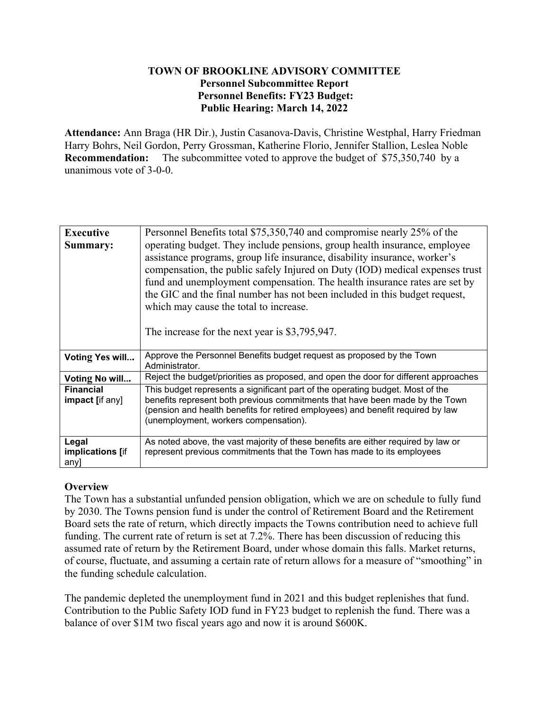## **TOWN OF BROOKLINE ADVISORY COMMITTEE Personnel Subcommittee Report Personnel Benefits: FY23 Budget: Public Hearing: March 14, 2022**

**Attendance:** Ann Braga (HR Dir.), Justin Casanova-Davis, Christine Westphal, Harry Friedman Harry Bohrs, Neil Gordon, Perry Grossman, Katherine Florio, Jennifer Stallion, Leslea Noble **Recommendation:** The subcommittee voted to approve the budget of \$75,350,740 by a unanimous vote of 3-0-0.

| <b>Executive</b>                           | Personnel Benefits total \$75,350,740 and compromise nearly 25% of the                                                                                                                                                                                                                     |
|--------------------------------------------|--------------------------------------------------------------------------------------------------------------------------------------------------------------------------------------------------------------------------------------------------------------------------------------------|
| Summary:                                   | operating budget. They include pensions, group health insurance, employee                                                                                                                                                                                                                  |
|                                            | assistance programs, group life insurance, disability insurance, worker's                                                                                                                                                                                                                  |
|                                            | compensation, the public safely Injured on Duty (IOD) medical expenses trust                                                                                                                                                                                                               |
|                                            | fund and unemployment compensation. The health insurance rates are set by                                                                                                                                                                                                                  |
|                                            | the GIC and the final number has not been included in this budget request,                                                                                                                                                                                                                 |
|                                            | which may cause the total to increase.                                                                                                                                                                                                                                                     |
|                                            |                                                                                                                                                                                                                                                                                            |
|                                            | The increase for the next year is \$3,795,947.                                                                                                                                                                                                                                             |
|                                            |                                                                                                                                                                                                                                                                                            |
| <b>Voting Yes will</b>                     | Approve the Personnel Benefits budget request as proposed by the Town<br>Administrator.                                                                                                                                                                                                    |
| Voting No will                             | Reject the budget/priorities as proposed, and open the door for different approaches                                                                                                                                                                                                       |
| <b>Financial</b><br><b>impact</b> [if any] | This budget represents a significant part of the operating budget. Most of the<br>benefits represent both previous commitments that have been made by the Town<br>(pension and health benefits for retired employees) and benefit required by law<br>(unemployment, workers compensation). |
| Legal                                      | As noted above, the vast majority of these benefits are either required by law or                                                                                                                                                                                                          |
| implications [if<br>any]                   | represent previous commitments that the Town has made to its employees                                                                                                                                                                                                                     |

# **Overview**

The Town has a substantial unfunded pension obligation, which we are on schedule to fully fund by 2030. The Towns pension fund is under the control of Retirement Board and the Retirement Board sets the rate of return, which directly impacts the Towns contribution need to achieve full funding. The current rate of return is set at 7.2%. There has been discussion of reducing this assumed rate of return by the Retirement Board, under whose domain this falls. Market returns, of course, fluctuate, and assuming a certain rate of return allows for a measure of "smoothing" in the funding schedule calculation.

The pandemic depleted the unemployment fund in 2021 and this budget replenishes that fund. Contribution to the Public Safety IOD fund in FY23 budget to replenish the fund. There was a balance of over \$1M two fiscal years ago and now it is around \$600K.